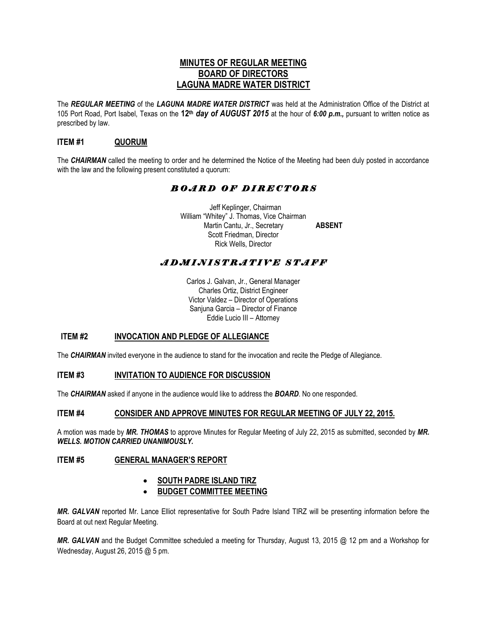## **MINUTES OF REGULAR MEETING BOARD OF DIRECTORS LAGUNA MADRE WATER DISTRICT**

The *REGULAR MEETING* of the *LAGUNA MADRE WATER DISTRICT* was held at the Administration Office of the District at 105 Port Road, Port Isabel, Texas on the **12th** *day of AUGUST 2015* at the hour of *6:00 p.m.,* pursuant to written notice as prescribed by law.

## **ITEM #1 QUORUM**

The *CHAIRMAN* called the meeting to order and he determined the Notice of the Meeting had been duly posted in accordance with the law and the following present constituted a quorum:

# *B O A R D O F D I R E C T O R S*

 Jeff Keplinger, Chairman William "Whitey" J. Thomas, Vice Chairman Martin Cantu, Jr., Secretary **ABSENT** Scott Friedman, Director Rick Wells, Director

# *A D M I N I S T R A T I V E S T A F F*

Carlos J. Galvan, Jr., General Manager Charles Ortiz, District Engineer Victor Valdez – Director of Operations Sanjuna Garcia – Director of Finance Eddie Lucio III – Attorney

## **ITEM #2 INVOCATION AND PLEDGE OF ALLEGIANCE**

The *CHAIRMAN* invited everyone in the audience to stand for the invocation and recite the Pledge of Allegiance.

### **ITEM #3 INVITATION TO AUDIENCE FOR DISCUSSION**

The *CHAIRMAN* asked if anyone in the audience would like to address the *BOARD*. No one responded.

### **ITEM #4 CONSIDER AND APPROVE MINUTES FOR REGULAR MEETING OF JULY 22, 2015.**

A motion was made by *MR. THOMAS* to approve Minutes for Regular Meeting of July 22, 2015 as submitted, seconded by *MR. WELLS. MOTION CARRIED UNANIMOUSLY.* 

#### **ITEM #5 GENERAL MANAGER'S REPORT**

### • **SOUTH PADRE ISLAND TIRZ**

## • **BUDGET COMMITTEE MEETING**

*MR. GALVAN* reported Mr. Lance Elliot representative for South Padre Island TIRZ will be presenting information before the Board at out next Regular Meeting.

*MR. GALVAN* and the Budget Committee scheduled a meeting for Thursday, August 13, 2015 @ 12 pm and a Workshop for Wednesday, August 26, 2015 @ 5 pm.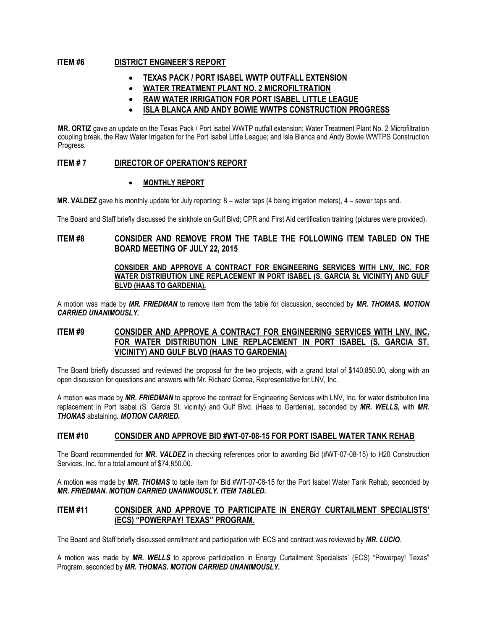## **ITEM #6 DISTRICT ENGINEER'S REPORT**

- **TEXAS PACK / PORT ISABEL WWTP OUTFALL EXTENSION**
- **WATER TREATMENT PLANT NO. 2 MICROFILTRATION**
- **RAW WATER IRRIGATION FOR PORT ISABEL LITTLE LEAGUE**
- **ISLA BLANCA AND ANDY BOWIE WWTPS CONSTRUCTION PROGRESS**

**MR. ORTIZ** gave an update on the Texas Pack / Port Isabel WWTP outfall extension; Water Treatment Plant No. 2 Microfiltration coupling break, the Raw Water Irrigation for the Port Isabel Little League; and Isla Blanca and Andy Bowie WWTPS Construction Progress.

## **ITEM # 7 DIRECTOR OF OPERATION'S REPORT**

• **MONTHLY REPORT** 

**MR. VALDEZ** gave his monthly update for July reporting: 8 – water taps (4 being irrigation meters), 4 – sewer taps and.

The Board and Staff briefly discussed the sinkhole on Gulf Blvd; CPR and First Aid certification training (pictures were provided).

## **ITEM #8 CONSIDER AND REMOVE FROM THE TABLE THE FOLLOWING ITEM TABLED ON THE BOARD MEETING OF JULY 22, 2015**

#### **CONSIDER AND APPROVE A CONTRACT FOR ENGINEERING SERVICES WITH LNV, INC. FOR WATER DISTRIBUTION LINE REPLACEMENT IN PORT ISABEL (S. GARCIA St. VICINITY) AND GULF BLVD (HAAS TO GARDENIA).**

A motion was made by *MR. FRIEDMAN* to remove item from the table for discussion, seconded by *MR. THOMAS. MOTION CARRIED UNANIMOUSLY.*

## **ITEM #9 CONSIDER AND APPROVE A CONTRACT FOR ENGINEERING SERVICES WITH LNV, INC. FOR WATER DISTRIBUTION LINE REPLACEMENT IN PORT ISABEL (S. GARCIA ST. VICINITY) AND GULF BLVD (HAAS TO GARDENIA)**

The Board briefly discussed and reviewed the proposal for the two projects, with a grand total of \$140,850.00, along with an open discussion for questions and answers with Mr. Richard Correa, Representative for LNV, Inc.

A motion was made by *MR. FRIEDMAN* to approve the contract for Engineering Services with LNV, Inc. for water distribution line replacement in Port Isabel (S. Garcia St. vicinity) and Gulf Blvd. (Haas to Gardenia), seconded by *MR. WELLS,* with *MR. THOMAS* abstaining*. MOTION CARRIED.* 

### **ITEM #10 CONSIDER AND APPROVE BID #WT-07-08-15 FOR PORT ISABEL WATER TANK REHAB**

The Board recommended for *MR. VALDEZ* in checking references prior to awarding Bid (#WT-07-08-15) to H20 Construction Services, Inc. for a total amount of \$74,850.00.

A motion was made by *MR. THOMAS* to table item for Bid #WT-07-08-15 for the Port Isabel Water Tank Rehab, seconded by *MR. FRIEDMAN. MOTION CARRIED UNANIMOUSLY. ITEM TABLED.*

## **ITEM #11 CONSIDER AND APPROVE TO PARTICIPATE IN ENERGY CURTAILMENT SPECIALISTS' (ECS) "POWERPAY! TEXAS" PROGRAM.**

The Board and Staff briefly discussed enrollment and participation with ECS and contract was reviewed by *MR. LUCIO*.

A motion was made by *MR. WELLS* to approve participation in Energy Curtailment Specialists' (ECS) "Powerpay! Texas" Program, seconded by *MR. THOMAS. MOTION CARRIED UNANIMOUSLY.*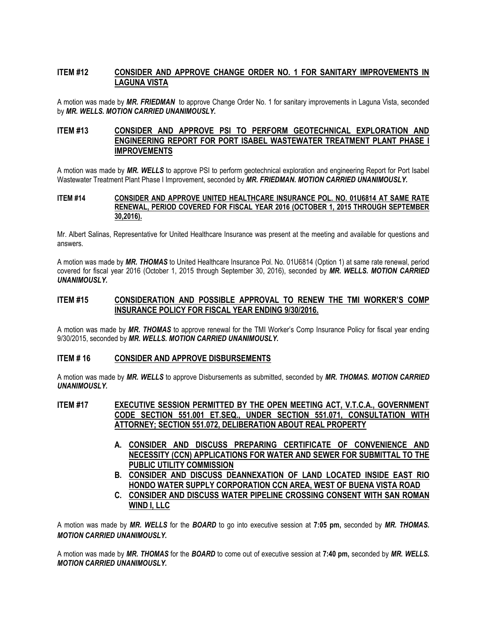## **ITEM #12 CONSIDER AND APPROVE CHANGE ORDER NO. 1 FOR SANITARY IMPROVEMENTS IN LAGUNA VISTA**

A motion was made by *MR. FRIEDMAN* to approve Change Order No. 1 for sanitary improvements in Laguna Vista, seconded by *MR. WELLS. MOTION CARRIED UNANIMOUSLY.*

#### **ITEM #13 CONSIDER AND APPROVE PSI TO PERFORM GEOTECHNICAL EXPLORATION AND ENGINEERING REPORT FOR PORT ISABEL WASTEWATER TREATMENT PLANT PHASE I IMPROVEMENTS**

A motion was made by *MR. WELLS* to approve PSI to perform geotechnical exploration and engineering Report for Port Isabel Wastewater Treatment Plant Phase I Improvement, seconded by *MR. FRIEDMAN. MOTION CARRIED UNANIMOUSLY.*

#### **ITEM #14 CONSIDER AND APPROVE UNITED HEALTHCARE INSURANCE POL. NO. 01U6814 AT SAME RATE RENEWAL, PERIOD COVERED FOR FISCAL YEAR 2016 (OCTOBER 1, 2015 THROUGH SEPTEMBER 30,2016).**

Mr. Albert Salinas, Representative for United Healthcare Insurance was present at the meeting and available for questions and answers.

A motion was made by *MR. THOMAS* to United Healthcare Insurance Pol. No. 01U6814 (Option 1) at same rate renewal, period covered for fiscal year 2016 (October 1, 2015 through September 30, 2016), seconded by *MR. WELLS. MOTION CARRIED UNANIMOUSLY.*

### **ITEM #15 CONSIDERATION AND POSSIBLE APPROVAL TO RENEW THE TMI WORKER'S COMP INSURANCE POLICY FOR FISCAL YEAR ENDING 9/30/2016.**

A motion was made by *MR. THOMAS* to approve renewal for the TMI Worker's Comp Insurance Policy for fiscal year ending 9/30/2015, seconded by *MR. WELLS. MOTION CARRIED UNANIMOUSLY.*

#### **ITEM # 16 CONSIDER AND APPROVE DISBURSEMENTS**

A motion was made by *MR. WELLS* to approve Disbursements as submitted, seconded by *MR. THOMAS. MOTION CARRIED UNANIMOUSLY.*

### **ITEM #17 EXECUTIVE SESSION PERMITTED BY THE OPEN MEETING ACT, V.T.C.A., GOVERNMENT CODE SECTION 551.001 ET.SEQ., UNDER SECTION 551.071, CONSULTATION WITH ATTORNEY; SECTION 551.072, DELIBERATION ABOUT REAL PROPERTY**

- **A. CONSIDER AND DISCUSS PREPARING CERTIFICATE OF CONVENIENCE AND NECESSITY (CCN) APPLICATIONS FOR WATER AND SEWER FOR SUBMITTAL TO THE PUBLIC UTILITY COMMISSION**
- **B. CONSIDER AND DISCUSS DEANNEXATION OF LAND LOCATED INSIDE EAST RIO HONDO WATER SUPPLY CORPORATION CCN AREA, WEST OF BUENA VISTA ROAD**
- **C. CONSIDER AND DISCUSS WATER PIPELINE CROSSING CONSENT WITH SAN ROMAN WIND I, LLC**

A motion was made by *MR. WELLS* for the *BOARD* to go into executive session at **7:05 pm,** seconded by *MR. THOMAS. MOTION CARRIED UNANIMOUSLY.* 

A motion was made by *MR. THOMAS* for the *BOARD* to come out of executive session at **7:40 pm,** seconded by *MR. WELLS. MOTION CARRIED UNANIMOUSLY.*